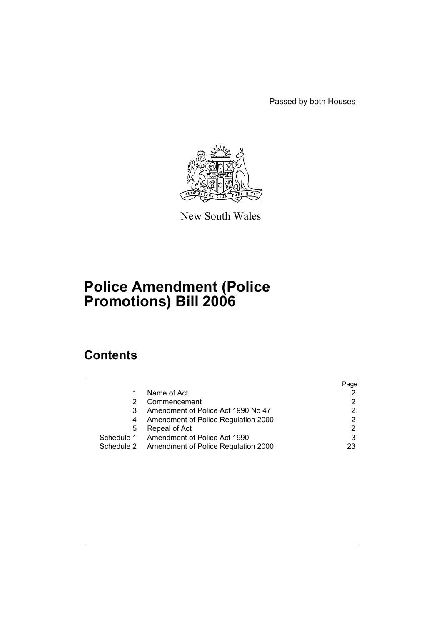Passed by both Houses



New South Wales

# **Police Amendment (Police Promotions) Bill 2006**

# **Contents**

|            |                                                | Page |
|------------|------------------------------------------------|------|
|            | Name of Act                                    |      |
|            | Commencement                                   |      |
| 3          | Amendment of Police Act 1990 No 47             |      |
| 4          | Amendment of Police Regulation 2000            |      |
| 5          | Repeal of Act                                  | 2    |
| Schedule 1 | Amendment of Police Act 1990                   |      |
|            | Schedule 2 Amendment of Police Regulation 2000 | 23   |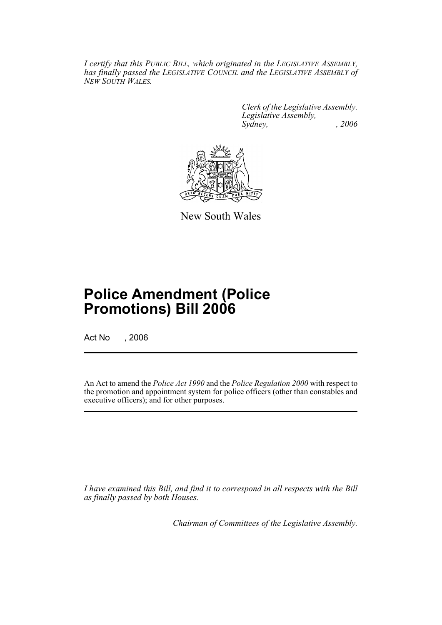*I certify that this PUBLIC BILL, which originated in the LEGISLATIVE ASSEMBLY, has finally passed the LEGISLATIVE COUNCIL and the LEGISLATIVE ASSEMBLY of NEW SOUTH WALES.*

> *Clerk of the Legislative Assembly. Legislative Assembly, Sydney, , 2006*



New South Wales

# **Police Amendment (Police Promotions) Bill 2006**

Act No , 2006

An Act to amend the *Police Act 1990* and the *Police Regulation 2000* with respect to the promotion and appointment system for police officers (other than constables and executive officers); and for other purposes.

*I have examined this Bill, and find it to correspond in all respects with the Bill as finally passed by both Houses.*

*Chairman of Committees of the Legislative Assembly.*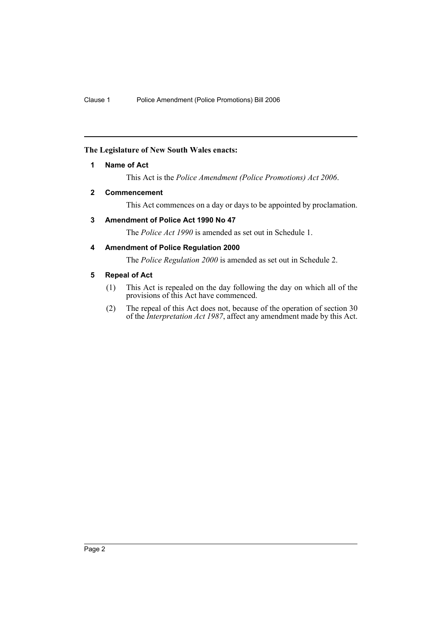## **The Legislature of New South Wales enacts:**

## **1 Name of Act**

This Act is the *Police Amendment (Police Promotions) Act 2006*.

#### **2 Commencement**

This Act commences on a day or days to be appointed by proclamation.

## **3 Amendment of Police Act 1990 No 47**

The *Police Act 1990* is amended as set out in Schedule 1.

## **4 Amendment of Police Regulation 2000**

The *Police Regulation 2000* is amended as set out in Schedule 2.

## **5 Repeal of Act**

- (1) This Act is repealed on the day following the day on which all of the provisions of this Act have commenced.
- (2) The repeal of this Act does not, because of the operation of section 30 of the *Interpretation Act 1987*, affect any amendment made by this Act.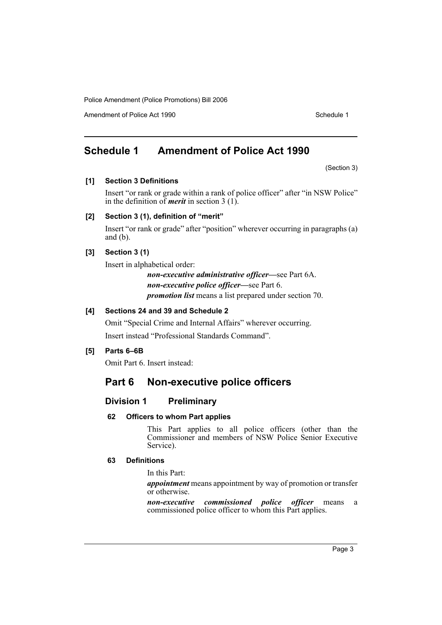Amendment of Police Act 1990 Schedule 1

# **Schedule 1 Amendment of Police Act 1990**

(Section 3)

## **[1] Section 3 Definitions**

Insert "or rank or grade within a rank of police officer" after "in NSW Police" in the definition of *merit* in section 3 (1).

## **[2] Section 3 (1), definition of "merit"**

Insert "or rank or grade" after "position" wherever occurring in paragraphs (a) and  $(b)$ .

## **[3] Section 3 (1)**

Insert in alphabetical order:

*non-executive administrative officer—*see Part 6A. *non-executive police officer—*see Part 6. *promotion list* means a list prepared under section 70.

## **[4] Sections 24 and 39 and Schedule 2**

Omit "Special Crime and Internal Affairs" wherever occurring. Insert instead "Professional Standards Command".

## **[5] Parts 6–6B**

Omit Part 6. Insert instead:

# **Part 6 Non-executive police officers**

## **Division 1 Preliminary**

## **62 Officers to whom Part applies**

This Part applies to all police officers (other than the Commissioner and members of NSW Police Senior Executive Service).

## **63 Definitions**

In this Part:

*appointment* means appointment by way of promotion or transfer or otherwise.

*non-executive commissioned police officer* means a commissioned police officer to whom this Part applies.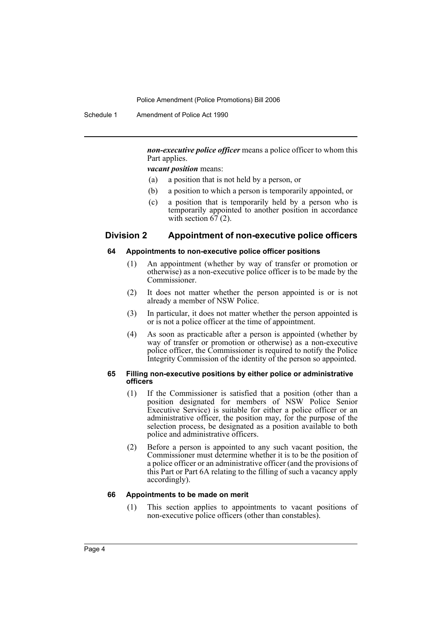Schedule 1 Amendment of Police Act 1990

*non-executive police officer* means a police officer to whom this Part applies.

*vacant position* means:

- (a) a position that is not held by a person, or
- (b) a position to which a person is temporarily appointed, or
- (c) a position that is temporarily held by a person who is temporarily appointed to another position in accordance with section  $67(2)$ .

## **Division 2 Appointment of non-executive police officers**

#### **64 Appointments to non-executive police officer positions**

- (1) An appointment (whether by way of transfer or promotion or otherwise) as a non-executive police officer is to be made by the Commissioner.
- (2) It does not matter whether the person appointed is or is not already a member of NSW Police.
- (3) In particular, it does not matter whether the person appointed is or is not a police officer at the time of appointment.
- (4) As soon as practicable after a person is appointed (whether by way of transfer or promotion or otherwise) as a non-executive police officer, the Commissioner is required to notify the Police Integrity Commission of the identity of the person so appointed.

#### **65 Filling non-executive positions by either police or administrative officers**

- (1) If the Commissioner is satisfied that a position (other than a position designated for members of NSW Police Senior Executive Service) is suitable for either a police officer or an administrative officer, the position may, for the purpose of the selection process, be designated as a position available to both police and administrative officers.
- (2) Before a person is appointed to any such vacant position, the Commissioner must determine whether it is to be the position of a police officer or an administrative officer (and the provisions of this Part or Part 6A relating to the filling of such a vacancy apply accordingly).

#### **66 Appointments to be made on merit**

(1) This section applies to appointments to vacant positions of non-executive police officers (other than constables).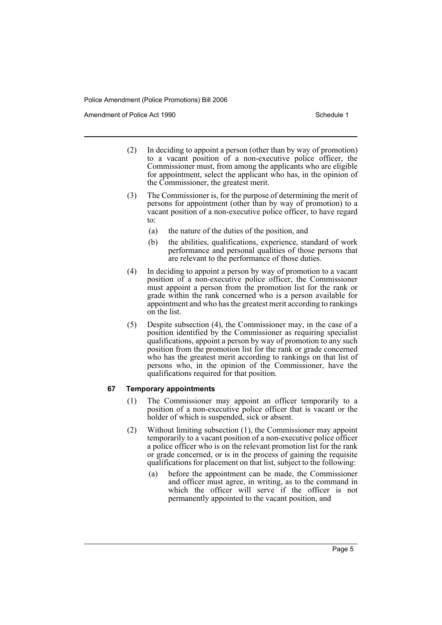Amendment of Police Act 1990 **Schedule 1** and the Schedule 1

- (2) In deciding to appoint a person (other than by way of promotion) to a vacant position of a non-executive police officer, the Commissioner must, from among the applicants who are eligible for appointment, select the applicant who has, in the opinion of the Commissioner, the greatest merit.
- (3) The Commissioner is, for the purpose of determining the merit of persons for appointment (other than by way of promotion) to a vacant position of a non-executive police officer, to have regard to:
	- (a) the nature of the duties of the position, and
	- (b) the abilities, qualifications, experience, standard of work performance and personal qualities of those persons that are relevant to the performance of those duties.
- (4) In deciding to appoint a person by way of promotion to a vacant position of a non-executive police officer, the Commissioner must appoint a person from the promotion list for the rank or grade within the rank concerned who is a person available for appointment and who has the greatest merit according to rankings on the list.
- (5) Despite subsection (4), the Commissioner may, in the case of a position identified by the Commissioner as requiring specialist qualifications, appoint a person by way of promotion to any such position from the promotion list for the rank or grade concerned who has the greatest merit according to rankings on that list of persons who, in the opinion of the Commissioner, have the qualifications required for that position.

## **67 Temporary appointments**

- (1) The Commissioner may appoint an officer temporarily to a position of a non-executive police officer that is vacant or the holder of which is suspended, sick or absent.
- (2) Without limiting subsection (1), the Commissioner may appoint temporarily to a vacant position of a non-executive police officer a police officer who is on the relevant promotion list for the rank or grade concerned, or is in the process of gaining the requisite qualifications for placement on that list, subject to the following:
	- (a) before the appointment can be made, the Commissioner and officer must agree, in writing, as to the command in which the officer will serve if the officer is not permanently appointed to the vacant position, and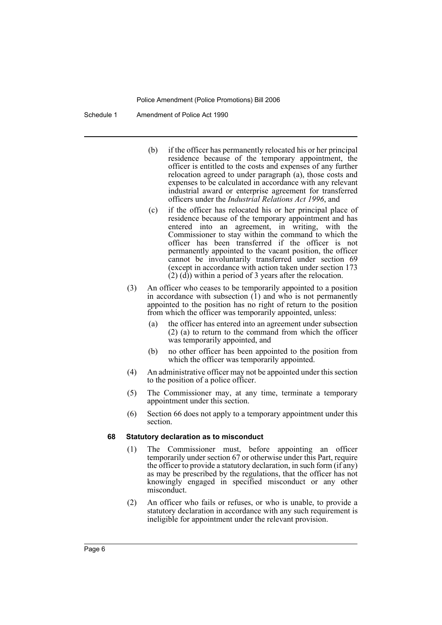Schedule 1 Amendment of Police Act 1990

- (b) if the officer has permanently relocated his or her principal residence because of the temporary appointment, the officer is entitled to the costs and expenses of any further relocation agreed to under paragraph (a), those costs and expenses to be calculated in accordance with any relevant industrial award or enterprise agreement for transferred officers under the *Industrial Relations Act 1996*, and
- (c) if the officer has relocated his or her principal place of residence because of the temporary appointment and has entered into an agreement, in writing, with the Commissioner to stay within the command to which the officer has been transferred if the officer is not permanently appointed to the vacant position, the officer cannot be involuntarily transferred under section 69 (except in accordance with action taken under section 173 (2) (d)) within a period of 3 years after the relocation.
- (3) An officer who ceases to be temporarily appointed to a position in accordance with subsection  $(1)$  and who is not permanently appointed to the position has no right of return to the position from which the officer was temporarily appointed, unless:
	- (a) the officer has entered into an agreement under subsection (2) (a) to return to the command from which the officer was temporarily appointed, and
	- (b) no other officer has been appointed to the position from which the officer was temporarily appointed.
- (4) An administrative officer may not be appointed under this section to the position of a police officer.
- (5) The Commissioner may, at any time, terminate a temporary appointment under this section.
- (6) Section 66 does not apply to a temporary appointment under this section.

#### **68 Statutory declaration as to misconduct**

- (1) The Commissioner must, before appointing an officer temporarily under section 67 or otherwise under this Part, require the officer to provide a statutory declaration, in such form (if any) as may be prescribed by the regulations, that the officer has not knowingly engaged in specified misconduct or any other misconduct.
- (2) An officer who fails or refuses, or who is unable, to provide a statutory declaration in accordance with any such requirement is ineligible for appointment under the relevant provision.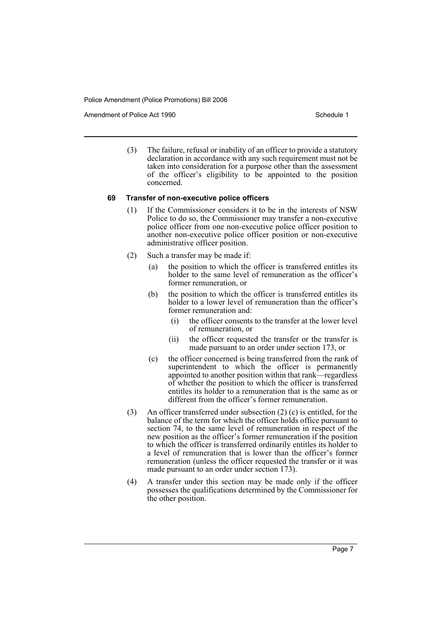Amendment of Police Act 1990 **Schedule 1** and the Schedule 1

(3) The failure, refusal or inability of an officer to provide a statutory declaration in accordance with any such requirement must not be taken into consideration for a purpose other than the assessment of the officer's eligibility to be appointed to the position concerned.

#### **69 Transfer of non-executive police officers**

- (1) If the Commissioner considers it to be in the interests of NSW Police to do so, the Commissioner may transfer a non-executive police officer from one non-executive police officer position to another non-executive police officer position or non-executive administrative officer position.
- (2) Such a transfer may be made if:
	- (a) the position to which the officer is transferred entitles its holder to the same level of remuneration as the officer's former remuneration, or
	- (b) the position to which the officer is transferred entitles its holder to a lower level of remuneration than the officer's former remuneration and:
		- (i) the officer consents to the transfer at the lower level of remuneration, or
		- (ii) the officer requested the transfer or the transfer is made pursuant to an order under section 173, or
	- (c) the officer concerned is being transferred from the rank of superintendent to which the officer is permanently appointed to another position within that rank—regardless of whether the position to which the officer is transferred entitles its holder to a remuneration that is the same as or different from the officer's former remuneration.
- (3) An officer transferred under subsection (2) (c) is entitled, for the balance of the term for which the officer holds office pursuant to section 74, to the same level of remuneration in respect of the new position as the officer's former remuneration if the position to which the officer is transferred ordinarily entitles its holder to a level of remuneration that is lower than the officer's former remuneration (unless the officer requested the transfer or it was made pursuant to an order under section 173).
- (4) A transfer under this section may be made only if the officer possesses the qualifications determined by the Commissioner for the other position.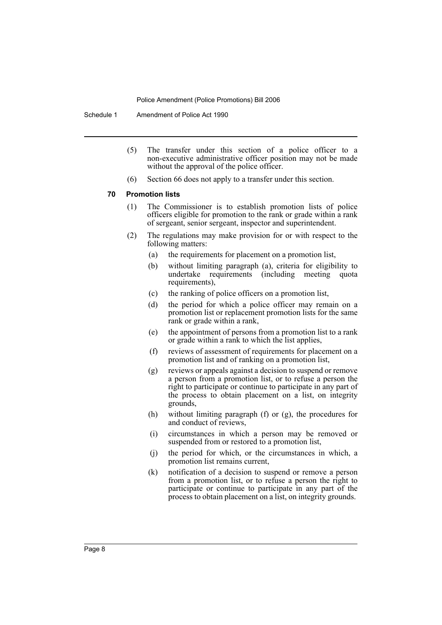Schedule 1 Amendment of Police Act 1990

- (5) The transfer under this section of a police officer to a non-executive administrative officer position may not be made without the approval of the police officer.
- (6) Section 66 does not apply to a transfer under this section.

#### **70 Promotion lists**

- (1) The Commissioner is to establish promotion lists of police officers eligible for promotion to the rank or grade within a rank of sergeant, senior sergeant, inspector and superintendent.
- (2) The regulations may make provision for or with respect to the following matters:
	- (a) the requirements for placement on a promotion list,
	- (b) without limiting paragraph (a), criteria for eligibility to undertake requirements (including meeting quota requirements),
	- (c) the ranking of police officers on a promotion list,
	- (d) the period for which a police officer may remain on a promotion list or replacement promotion lists for the same rank or grade within a rank,
	- (e) the appointment of persons from a promotion list to a rank or grade within a rank to which the list applies,
	- (f) reviews of assessment of requirements for placement on a promotion list and of ranking on a promotion list,
	- (g) reviews or appeals against a decision to suspend or remove a person from a promotion list, or to refuse a person the right to participate or continue to participate in any part of the process to obtain placement on a list, on integrity grounds,
	- (h) without limiting paragraph (f) or (g), the procedures for and conduct of reviews,
	- (i) circumstances in which a person may be removed or suspended from or restored to a promotion list,
	- (j) the period for which, or the circumstances in which, a promotion list remains current,
	- (k) notification of a decision to suspend or remove a person from a promotion list, or to refuse a person the right to participate or continue to participate in any part of the process to obtain placement on a list, on integrity grounds.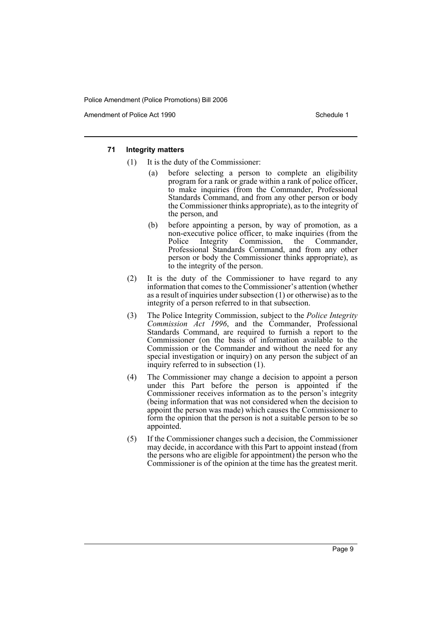Amendment of Police Act 1990 **Schedule 1** and the Schedule 1

#### **71 Integrity matters**

- (1) It is the duty of the Commissioner:
	- (a) before selecting a person to complete an eligibility program for a rank or grade within a rank of police officer, to make inquiries (from the Commander, Professional Standards Command, and from any other person or body the Commissioner thinks appropriate), as to the integrity of the person, and
	- (b) before appointing a person, by way of promotion, as a non-executive police officer, to make inquiries (from the Police Integrity Commission, the Commander, Professional Standards Command, and from any other person or body the Commissioner thinks appropriate), as to the integrity of the person.
- (2) It is the duty of the Commissioner to have regard to any information that comes to the Commissioner's attention (whether as a result of inquiries under subsection (1) or otherwise) as to the integrity of a person referred to in that subsection.
- (3) The Police Integrity Commission, subject to the *Police Integrity Commission Act 1996*, and the Commander, Professional Standards Command, are required to furnish a report to the Commissioner (on the basis of information available to the Commission or the Commander and without the need for any special investigation or inquiry) on any person the subject of an inquiry referred to in subsection (1).
- (4) The Commissioner may change a decision to appoint a person under this Part before the person is appointed if the Commissioner receives information as to the person's integrity (being information that was not considered when the decision to appoint the person was made) which causes the Commissioner to form the opinion that the person is not a suitable person to be so appointed.
- (5) If the Commissioner changes such a decision, the Commissioner may decide, in accordance with this Part to appoint instead (from the persons who are eligible for appointment) the person who the Commissioner is of the opinion at the time has the greatest merit.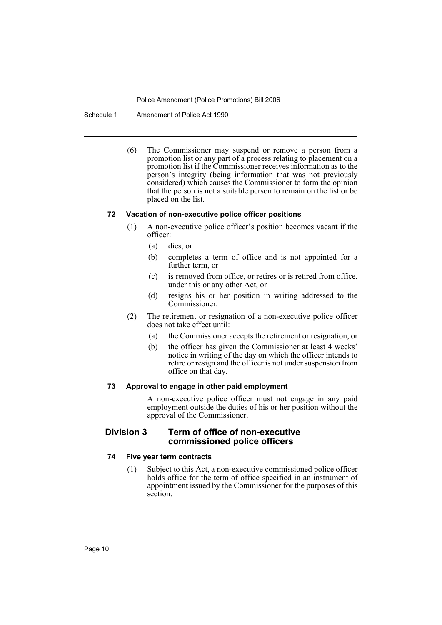Schedule 1 Amendment of Police Act 1990

(6) The Commissioner may suspend or remove a person from a promotion list or any part of a process relating to placement on a promotion list if the Commissioner receives information as to the person's integrity (being information that was not previously considered) which causes the Commissioner to form the opinion that the person is not a suitable person to remain on the list or be placed on the list.

#### **72 Vacation of non-executive police officer positions**

- (1) A non-executive police officer's position becomes vacant if the officer:
	- (a) dies, or
	- (b) completes a term of office and is not appointed for a further term, or
	- (c) is removed from office, or retires or is retired from office, under this or any other Act, or
	- (d) resigns his or her position in writing addressed to the Commissioner.
- (2) The retirement or resignation of a non-executive police officer does not take effect until:
	- (a) the Commissioner accepts the retirement or resignation, or
	- (b) the officer has given the Commissioner at least 4 weeks' notice in writing of the day on which the officer intends to retire or resign and the officer is not under suspension from office on that day.

#### **73 Approval to engage in other paid employment**

A non-executive police officer must not engage in any paid employment outside the duties of his or her position without the approval of the Commissioner.

## **Division 3 Term of office of non-executive commissioned police officers**

## **74 Five year term contracts**

(1) Subject to this Act, a non-executive commissioned police officer holds office for the term of office specified in an instrument of appointment issued by the Commissioner for the purposes of this section.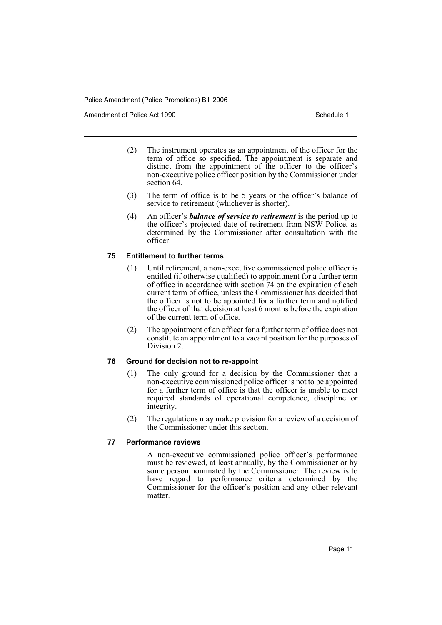Amendment of Police Act 1990 **Schedule 1** and the Schedule 1

- (2) The instrument operates as an appointment of the officer for the term of office so specified. The appointment is separate and distinct from the appointment of the officer to the officer's non-executive police officer position by the Commissioner under section 64.
- (3) The term of office is to be 5 years or the officer's balance of service to retirement (whichever is shorter).
- (4) An officer's *balance of service to retirement* is the period up to the officer's projected date of retirement from NSW Police, as determined by the Commissioner after consultation with the officer.

## **75 Entitlement to further terms**

- (1) Until retirement, a non-executive commissioned police officer is entitled (if otherwise qualified) to appointment for a further term of office in accordance with section 74 on the expiration of each current term of office, unless the Commissioner has decided that the officer is not to be appointed for a further term and notified the officer of that decision at least 6 months before the expiration of the current term of office.
- (2) The appointment of an officer for a further term of office does not constitute an appointment to a vacant position for the purposes of Division 2.

## **76 Ground for decision not to re-appoint**

- (1) The only ground for a decision by the Commissioner that a non-executive commissioned police officer is not to be appointed for a further term of office is that the officer is unable to meet required standards of operational competence, discipline or integrity.
- (2) The regulations may make provision for a review of a decision of the Commissioner under this section.

## **77 Performance reviews**

A non-executive commissioned police officer's performance must be reviewed, at least annually, by the Commissioner or by some person nominated by the Commissioner. The review is to have regard to performance criteria determined by the Commissioner for the officer's position and any other relevant matter.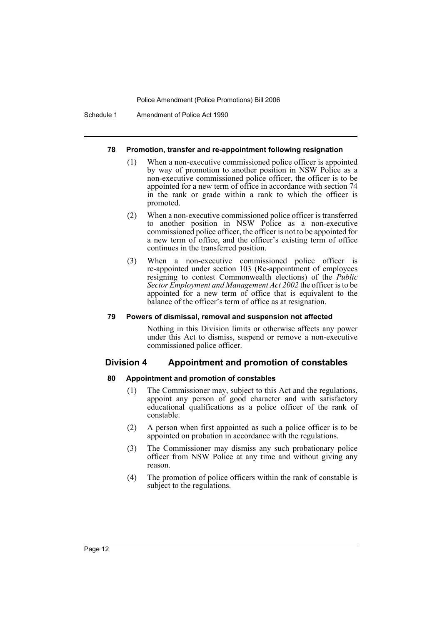Schedule 1 Amendment of Police Act 1990

#### **78 Promotion, transfer and re-appointment following resignation**

- (1) When a non-executive commissioned police officer is appointed by way of promotion to another position in NSW Police as a non-executive commissioned police officer, the officer is to be appointed for a new term of office in accordance with section 74 in the rank or grade within a rank to which the officer is promoted.
- (2) When a non-executive commissioned police officer is transferred to another position in NSW Police as a non-executive commissioned police officer, the officer is not to be appointed for a new term of office, and the officer's existing term of office continues in the transferred position.
- (3) When a non-executive commissioned police officer is re-appointed under section 103 (Re-appointment of employees resigning to contest Commonwealth elections) of the *Public Sector Employment and Management Act 2002* the officer is to be appointed for a new term of office that is equivalent to the balance of the officer's term of office as at resignation.

#### **79 Powers of dismissal, removal and suspension not affected**

Nothing in this Division limits or otherwise affects any power under this Act to dismiss, suspend or remove a non-executive commissioned police officer.

## **Division 4 Appointment and promotion of constables**

#### **80 Appointment and promotion of constables**

- (1) The Commissioner may, subject to this Act and the regulations, appoint any person of good character and with satisfactory educational qualifications as a police officer of the rank of constable.
- (2) A person when first appointed as such a police officer is to be appointed on probation in accordance with the regulations.
- (3) The Commissioner may dismiss any such probationary police officer from NSW Police at any time and without giving any reason.
- (4) The promotion of police officers within the rank of constable is subject to the regulations.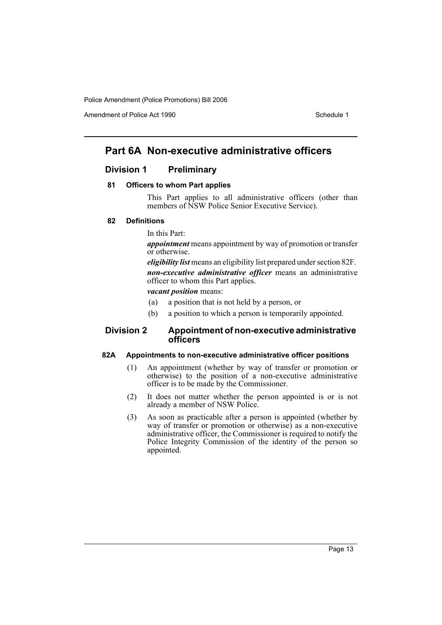Amendment of Police Act 1990 Schedule 1

## **Part 6A Non-executive administrative officers**

## **Division 1 Preliminary**

#### **81 Officers to whom Part applies**

This Part applies to all administrative officers (other than members of NSW Police Senior Executive Service).

#### **82 Definitions**

#### In this Part:

*appointment* means appointment by way of promotion or transfer or otherwise.

*eligibility list* means an eligibility list prepared under section 82F. *non-executive administrative officer* means an administrative officer to whom this Part applies.

*vacant position* means:

- (a) a position that is not held by a person, or
- (b) a position to which a person is temporarily appointed.

## **Division 2 Appointment of non-executive administrative officers**

#### **82A Appointments to non-executive administrative officer positions**

- (1) An appointment (whether by way of transfer or promotion or otherwise) to the position of a non-executive administrative officer is to be made by the Commissioner.
- (2) It does not matter whether the person appointed is or is not already a member of NSW Police.
- (3) As soon as practicable after a person is appointed (whether by way of transfer or promotion or otherwise) as a non-executive administrative officer, the Commissioner is required to notify the Police Integrity Commission of the identity of the person so appointed.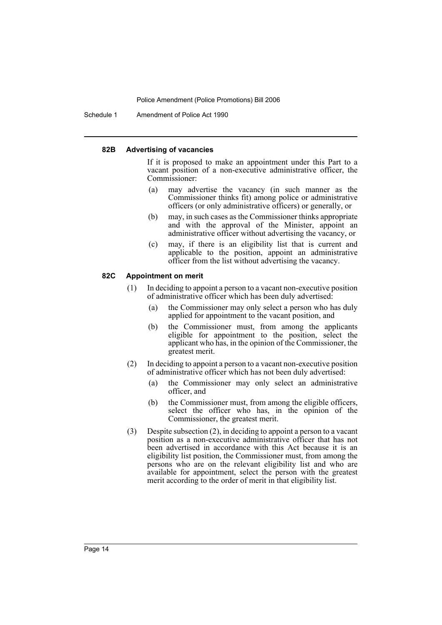Schedule 1 Amendment of Police Act 1990

#### **82B Advertising of vacancies**

If it is proposed to make an appointment under this Part to a vacant position of a non-executive administrative officer, the Commissioner:

- (a) may advertise the vacancy (in such manner as the Commissioner thinks fit) among police or administrative officers (or only administrative officers) or generally, or
- (b) may, in such cases as the Commissioner thinks appropriate and with the approval of the Minister, appoint an administrative officer without advertising the vacancy, or
- (c) may, if there is an eligibility list that is current and applicable to the position, appoint an administrative officer from the list without advertising the vacancy.

## **82C Appointment on merit**

- (1) In deciding to appoint a person to a vacant non-executive position of administrative officer which has been duly advertised:
	- (a) the Commissioner may only select a person who has duly applied for appointment to the vacant position, and
	- (b) the Commissioner must, from among the applicants eligible for appointment to the position, select the applicant who has, in the opinion of the Commissioner, the greatest merit.
- (2) In deciding to appoint a person to a vacant non-executive position of administrative officer which has not been duly advertised:
	- (a) the Commissioner may only select an administrative officer, and
	- (b) the Commissioner must, from among the eligible officers, select the officer who has, in the opinion of the Commissioner, the greatest merit.
- (3) Despite subsection (2), in deciding to appoint a person to a vacant position as a non-executive administrative officer that has not been advertised in accordance with this Act because it is an eligibility list position, the Commissioner must, from among the persons who are on the relevant eligibility list and who are available for appointment, select the person with the greatest merit according to the order of merit in that eligibility list.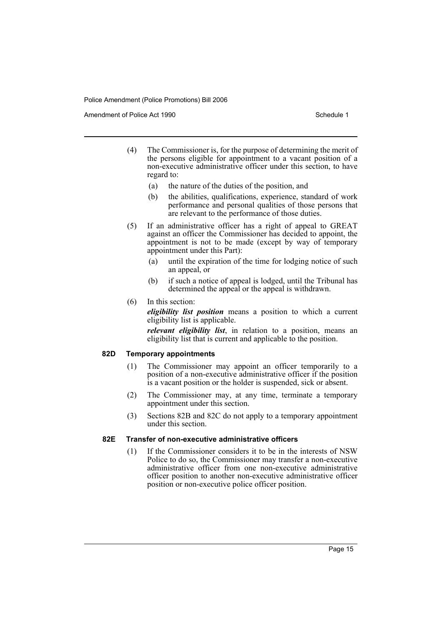Amendment of Police Act 1990 **Schedule 1** and the Schedule 1

- (4) The Commissioner is, for the purpose of determining the merit of the persons eligible for appointment to a vacant position of a non-executive administrative officer under this section, to have regard to:
	- (a) the nature of the duties of the position, and
	- (b) the abilities, qualifications, experience, standard of work performance and personal qualities of those persons that are relevant to the performance of those duties.
- (5) If an administrative officer has a right of appeal to GREAT against an officer the Commissioner has decided to appoint, the appointment is not to be made (except by way of temporary appointment under this Part):
	- (a) until the expiration of the time for lodging notice of such an appeal, or
	- (b) if such a notice of appeal is lodged, until the Tribunal has determined the appeal or the appeal is withdrawn.
- (6) In this section:

*eligibility list position* means a position to which a current eligibility list is applicable.

*relevant eligibility list*, in relation to a position, means an eligibility list that is current and applicable to the position.

## **82D Temporary appointments**

- (1) The Commissioner may appoint an officer temporarily to a position of a non-executive administrative officer if the position is a vacant position or the holder is suspended, sick or absent.
- (2) The Commissioner may, at any time, terminate a temporary appointment under this section.
- (3) Sections 82B and 82C do not apply to a temporary appointment under this section.

#### **82E Transfer of non-executive administrative officers**

(1) If the Commissioner considers it to be in the interests of NSW Police to do so, the Commissioner may transfer a non-executive administrative officer from one non-executive administrative officer position to another non-executive administrative officer position or non-executive police officer position.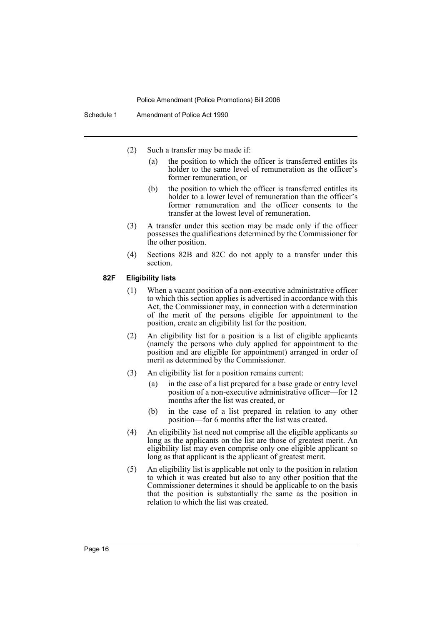- (2) Such a transfer may be made if:
	- (a) the position to which the officer is transferred entitles its holder to the same level of remuneration as the officer's former remuneration, or
	- (b) the position to which the officer is transferred entitles its holder to a lower level of remuneration than the officer's former remuneration and the officer consents to the transfer at the lowest level of remuneration.
- (3) A transfer under this section may be made only if the officer possesses the qualifications determined by the Commissioner for the other position.
- (4) Sections 82B and 82C do not apply to a transfer under this section.

#### **82F Eligibility lists**

- (1) When a vacant position of a non-executive administrative officer to which this section applies is advertised in accordance with this Act, the Commissioner may, in connection with a determination of the merit of the persons eligible for appointment to the position, create an eligibility list for the position.
- (2) An eligibility list for a position is a list of eligible applicants (namely the persons who duly applied for appointment to the position and are eligible for appointment) arranged in order of merit as determined by the Commissioner.
- (3) An eligibility list for a position remains current:
	- (a) in the case of a list prepared for a base grade or entry level position of a non-executive administrative officer—for 12 months after the list was created, or
	- (b) in the case of a list prepared in relation to any other position—for 6 months after the list was created.
- (4) An eligibility list need not comprise all the eligible applicants so long as the applicants on the list are those of greatest merit. An eligibility list may even comprise only one eligible applicant so long as that applicant is the applicant of greatest merit.
- (5) An eligibility list is applicable not only to the position in relation to which it was created but also to any other position that the Commissioner determines it should be applicable to on the basis that the position is substantially the same as the position in relation to which the list was created.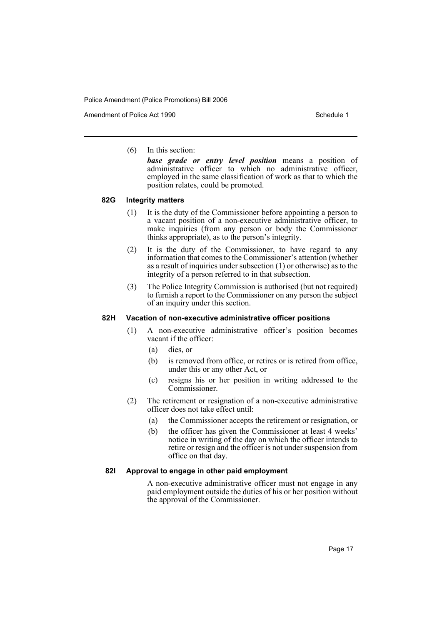Amendment of Police Act 1990 **Schedule 1** and the Schedule 1

(6) In this section:

*base grade or entry level position* means a position of administrative officer to which no administrative officer, employed in the same classification of work as that to which the position relates, could be promoted.

#### **82G Integrity matters**

- (1) It is the duty of the Commissioner before appointing a person to a vacant position of a non-executive administrative officer, to make inquiries (from any person or body the Commissioner thinks appropriate), as to the person's integrity.
- (2) It is the duty of the Commissioner, to have regard to any information that comes to the Commissioner's attention (whether as a result of inquiries under subsection (1) or otherwise) as to the integrity of a person referred to in that subsection.
- (3) The Police Integrity Commission is authorised (but not required) to furnish a report to the Commissioner on any person the subject of an inquiry under this section.

#### **82H Vacation of non-executive administrative officer positions**

- (1) A non-executive administrative officer's position becomes vacant if the officer:
	- (a) dies, or
	- (b) is removed from office, or retires or is retired from office, under this or any other Act, or
	- (c) resigns his or her position in writing addressed to the Commissioner.
- (2) The retirement or resignation of a non-executive administrative officer does not take effect until:
	- (a) the Commissioner accepts the retirement or resignation, or
	- (b) the officer has given the Commissioner at least 4 weeks' notice in writing of the day on which the officer intends to retire or resign and the officer is not under suspension from office on that day.

## **82I Approval to engage in other paid employment**

A non-executive administrative officer must not engage in any paid employment outside the duties of his or her position without the approval of the Commissioner.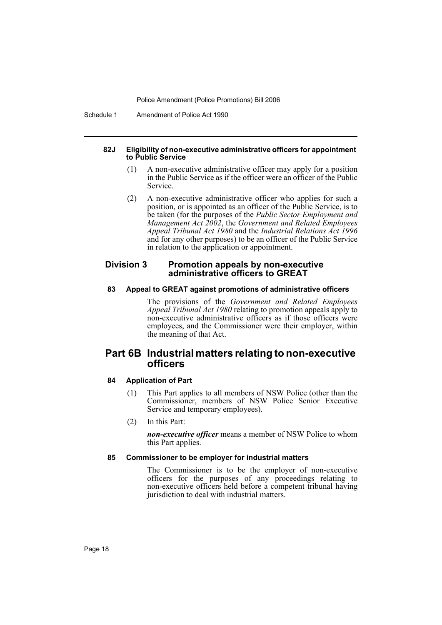Schedule 1 Amendment of Police Act 1990

#### **82J Eligibility of non-executive administrative officers for appointment to Public Service**

- (1) A non-executive administrative officer may apply for a position in the Public Service as if the officer were an officer of the Public **Service**
- (2) A non-executive administrative officer who applies for such a position, or is appointed as an officer of the Public Service, is to be taken (for the purposes of the *Public Sector Employment and Management Act 2002*, the *Government and Related Employees Appeal Tribunal Act 1980* and the *Industrial Relations Act 1996* and for any other purposes) to be an officer of the Public Service in relation to the application or appointment.

## **Division 3 Promotion appeals by non-executive administrative officers to GREAT**

#### **83 Appeal to GREAT against promotions of administrative officers**

The provisions of the *Government and Related Employees Appeal Tribunal Act 1980* relating to promotion appeals apply to non-executive administrative officers as if those officers were employees, and the Commissioner were their employer, within the meaning of that Act.

## **Part 6B Industrial matters relating to non-executive officers**

## **84 Application of Part**

- (1) This Part applies to all members of NSW Police (other than the Commissioner, members of NSW Police Senior Executive Service and temporary employees).
- (2) In this Part:

*non-executive officer* means a member of NSW Police to whom this Part applies.

#### **85 Commissioner to be employer for industrial matters**

The Commissioner is to be the employer of non-executive officers for the purposes of any proceedings relating to non-executive officers held before a competent tribunal having jurisdiction to deal with industrial matters.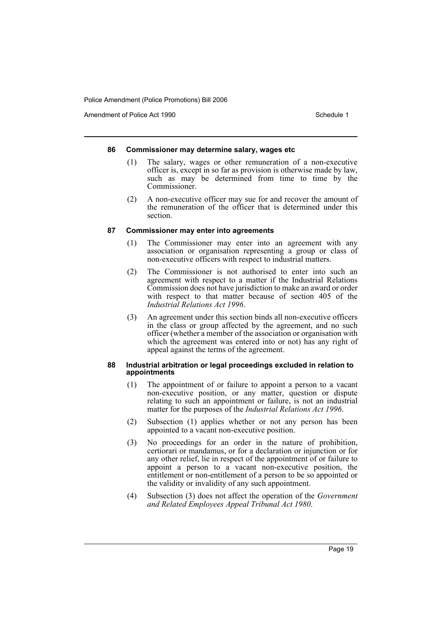Amendment of Police Act 1990 **Schedule 1** and the Schedule 1

#### **86 Commissioner may determine salary, wages etc**

- (1) The salary, wages or other remuneration of a non-executive officer is, except in so far as provision is otherwise made by law, such as may be determined from time to time by the Commissioner.
- (2) A non-executive officer may sue for and recover the amount of the remuneration of the officer that is determined under this section.

#### **87 Commissioner may enter into agreements**

- (1) The Commissioner may enter into an agreement with any association or organisation representing a group or class of non-executive officers with respect to industrial matters.
- (2) The Commissioner is not authorised to enter into such an agreement with respect to a matter if the Industrial Relations Commission does not have jurisdiction to make an award or order with respect to that matter because of section 405 of the *Industrial Relations Act 1996*.
- (3) An agreement under this section binds all non-executive officers in the class or group affected by the agreement, and no such officer (whether a member of the association or organisation with which the agreement was entered into or not) has any right of appeal against the terms of the agreement.

#### **88 Industrial arbitration or legal proceedings excluded in relation to appointments**

- (1) The appointment of or failure to appoint a person to a vacant non-executive position, or any matter, question or dispute relating to such an appointment or failure, is not an industrial matter for the purposes of the *Industrial Relations Act 1996*.
- (2) Subsection (1) applies whether or not any person has been appointed to a vacant non-executive position.
- (3) No proceedings for an order in the nature of prohibition, certiorari or mandamus, or for a declaration or injunction or for any other relief, lie in respect of the appointment of or failure to appoint a person to a vacant non-executive position, the entitlement or non-entitlement of a person to be so appointed or the validity or invalidity of any such appointment.
- (4) Subsection (3) does not affect the operation of the *Government and Related Employees Appeal Tribunal Act 1980*.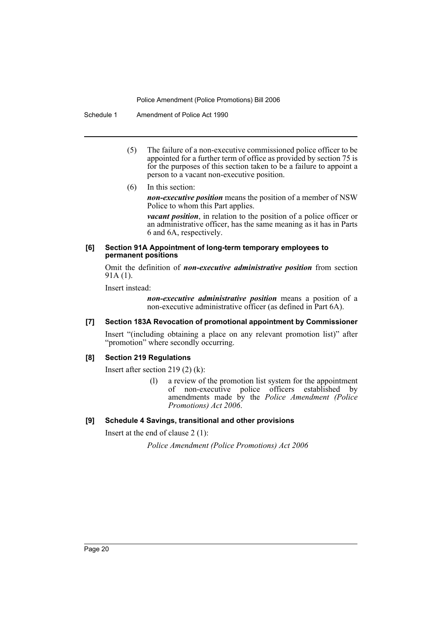Schedule 1 Amendment of Police Act 1990

- (5) The failure of a non-executive commissioned police officer to be appointed for a further term of office as provided by section 75 is for the purposes of this section taken to be a failure to appoint a person to a vacant non-executive position.
- (6) In this section:

*non-executive position* means the position of a member of NSW Police to whom this Part applies.

*vacant position*, in relation to the position of a police officer or an administrative officer, has the same meaning as it has in Parts 6 and 6A, respectively.

#### **[6] Section 91A Appointment of long-term temporary employees to permanent positions**

Omit the definition of *non-executive administrative position* from section 91A (1).

Insert instead:

*non-executive administrative position* means a position of a non-executive administrative officer (as defined in Part 6A).

## **[7] Section 183A Revocation of promotional appointment by Commissioner**

Insert "(including obtaining a place on any relevant promotion list)" after "promotion" where secondly occurring.

## **[8] Section 219 Regulations**

Insert after section 219 (2) (k):

(l) a review of the promotion list system for the appointment of non-executive police officers established by amendments made by the *Police Amendment (Police Promotions) Act 2006*.

## **[9] Schedule 4 Savings, transitional and other provisions**

Insert at the end of clause 2 (1):

*Police Amendment (Police Promotions) Act 2006*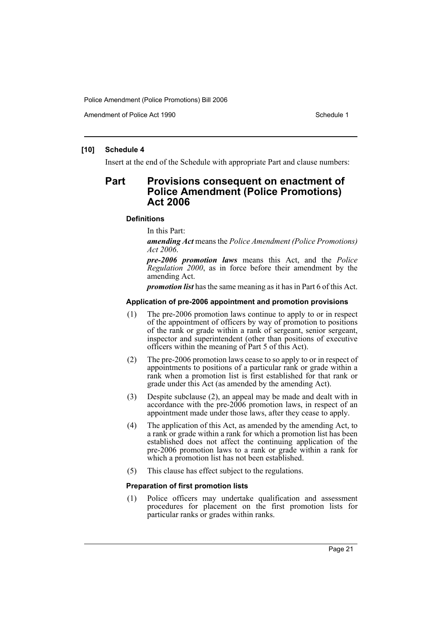Amendment of Police Act 1990 **Schedule 1** and the Schedule 1

## **[10] Schedule 4**

Insert at the end of the Schedule with appropriate Part and clause numbers:

## **Part Provisions consequent on enactment of Police Amendment (Police Promotions) Act 2006**

#### **Definitions**

In this Part:

*amending Act* means the *Police Amendment (Police Promotions) Act 2006*.

*pre-2006 promotion laws* means this Act, and the *Police Regulation 2000*, as in force before their amendment by the amending Act.

*promotion list* has the same meaning as it has in Part 6 of this Act.

#### **Application of pre-2006 appointment and promotion provisions**

- (1) The pre-2006 promotion laws continue to apply to or in respect of the appointment of officers by way of promotion to positions of the rank or grade within a rank of sergeant, senior sergeant, inspector and superintendent (other than positions of executive officers within the meaning of Part 5 of this Act).
- (2) The pre-2006 promotion laws cease to so apply to or in respect of appointments to positions of a particular rank or grade within a rank when a promotion list is first established for that rank or grade under this Act (as amended by the amending Act).
- (3) Despite subclause (2), an appeal may be made and dealt with in accordance with the pre-2006 promotion laws, in respect of an appointment made under those laws, after they cease to apply.
- (4) The application of this Act, as amended by the amending Act, to a rank or grade within a rank for which a promotion list has been established does not affect the continuing application of the pre-2006 promotion laws to a rank or grade within a rank for which a promotion list has not been established.
- (5) This clause has effect subject to the regulations.

#### **Preparation of first promotion lists**

(1) Police officers may undertake qualification and assessment procedures for placement on the first promotion lists for particular ranks or grades within ranks.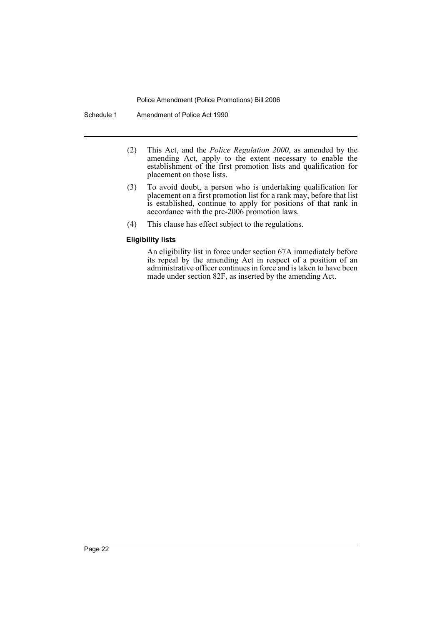Schedule 1 Amendment of Police Act 1990

- (2) This Act, and the *Police Regulation 2000*, as amended by the amending Act, apply to the extent necessary to enable the establishment of the first promotion lists and qualification for placement on those lists.
- (3) To avoid doubt, a person who is undertaking qualification for placement on a first promotion list for a rank may, before that list is established, continue to apply for positions of that rank in accordance with the pre-2006 promotion laws.
- (4) This clause has effect subject to the regulations.

## **Eligibility lists**

An eligibility list in force under section 67A immediately before its repeal by the amending Act in respect of a position of an administrative officer continues in force and is taken to have been made under section 82F, as inserted by the amending Act.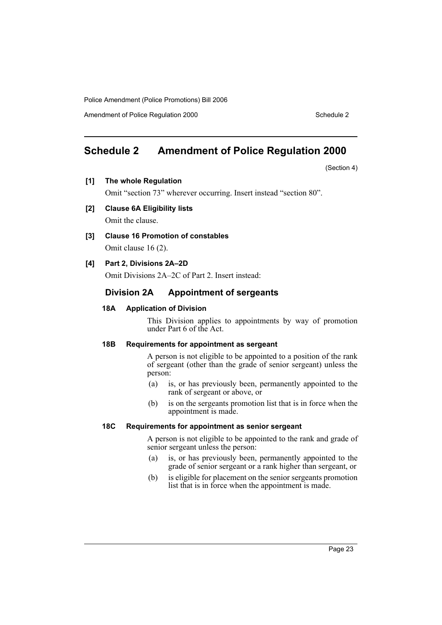Amendment of Police Regulation 2000 Schedule 2

# **Schedule 2 Amendment of Police Regulation 2000**

(Section 4)

**[1] The whole Regulation**

Omit "section 73" wherever occurring. Insert instead "section 80".

**[2] Clause 6A Eligibility lists**

Omit the clause.

**[3] Clause 16 Promotion of constables**

Omit clause 16 (2).

## **[4] Part 2, Divisions 2A–2D**

Omit Divisions 2A–2C of Part 2. Insert instead:

## **Division 2A Appointment of sergeants**

#### **18A Application of Division**

This Division applies to appointments by way of promotion under Part 6 of the Act.

#### **18B Requirements for appointment as sergeant**

A person is not eligible to be appointed to a position of the rank of sergeant (other than the grade of senior sergeant) unless the person:

- (a) is, or has previously been, permanently appointed to the rank of sergeant or above, or
- (b) is on the sergeants promotion list that is in force when the appointment is made.

## **18C Requirements for appointment as senior sergeant**

A person is not eligible to be appointed to the rank and grade of senior sergeant unless the person:

- (a) is, or has previously been, permanently appointed to the grade of senior sergeant or a rank higher than sergeant, or
- (b) is eligible for placement on the senior sergeants promotion list that is in force when the appointment is made.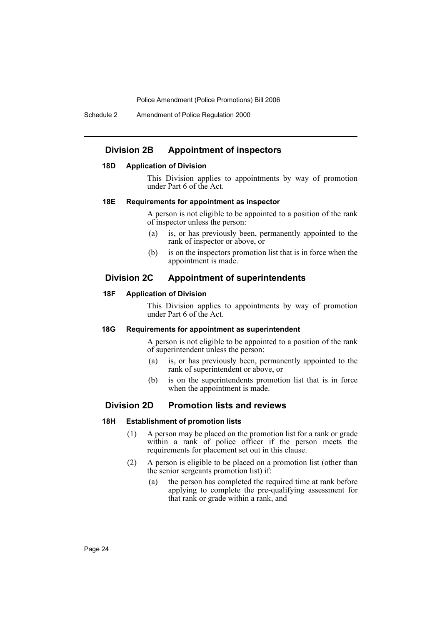Schedule 2 Amendment of Police Regulation 2000

## **Division 2B Appointment of inspectors**

#### **18D Application of Division**

This Division applies to appointments by way of promotion under Part 6 of the Act.

#### **18E Requirements for appointment as inspector**

A person is not eligible to be appointed to a position of the rank of inspector unless the person:

- (a) is, or has previously been, permanently appointed to the rank of inspector or above, or
- (b) is on the inspectors promotion list that is in force when the appointment is made.

## **Division 2C Appointment of superintendents**

#### **18F Application of Division**

This Division applies to appointments by way of promotion under Part 6 of the Act.

#### **18G Requirements for appointment as superintendent**

A person is not eligible to be appointed to a position of the rank of superintendent unless the person:

- (a) is, or has previously been, permanently appointed to the rank of superintendent or above, or
- (b) is on the superintendents promotion list that is in force when the appointment is made.

## **Division 2D Promotion lists and reviews**

#### **18H Establishment of promotion lists**

- (1) A person may be placed on the promotion list for a rank or grade within a rank of police officer if the person meets the requirements for placement set out in this clause.
- (2) A person is eligible to be placed on a promotion list (other than the senior sergeants promotion list) if:
	- (a) the person has completed the required time at rank before applying to complete the pre-qualifying assessment for that rank or grade within a rank, and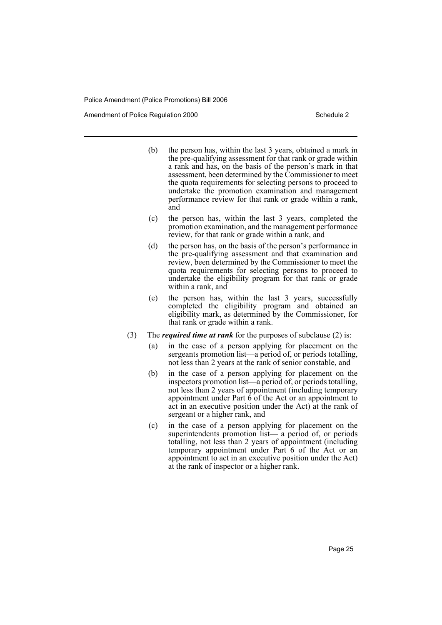Amendment of Police Regulation 2000

- (b) the person has, within the last 3 years, obtained a mark in the pre-qualifying assessment for that rank or grade within a rank and has, on the basis of the person's mark in that assessment, been determined by the Commissioner to meet the quota requirements for selecting persons to proceed to undertake the promotion examination and management performance review for that rank or grade within a rank, and
- (c) the person has, within the last 3 years, completed the promotion examination, and the management performance review, for that rank or grade within a rank, and
- (d) the person has, on the basis of the person's performance in the pre-qualifying assessment and that examination and review, been determined by the Commissioner to meet the quota requirements for selecting persons to proceed to undertake the eligibility program for that rank or grade within a rank, and
- (e) the person has, within the last 3 years, successfully completed the eligibility program and obtained an eligibility mark, as determined by the Commissioner, for that rank or grade within a rank.
- (3) The *required time at rank* for the purposes of subclause (2) is:
	- (a) in the case of a person applying for placement on the sergeants promotion list—a period of, or periods totalling, not less than 2 years at the rank of senior constable, and
	- (b) in the case of a person applying for placement on the inspectors promotion list—a period of, or periods totalling, not less than 2 years of appointment (including temporary appointment under Part  $\hat{6}$  of the Act or an appointment to act in an executive position under the Act) at the rank of sergeant or a higher rank, and
	- (c) in the case of a person applying for placement on the superintendents promotion list— a period of, or periods totalling, not less than 2 years of appointment (including temporary appointment under Part 6 of the Act or an appointment to act in an executive position under the Act) at the rank of inspector or a higher rank.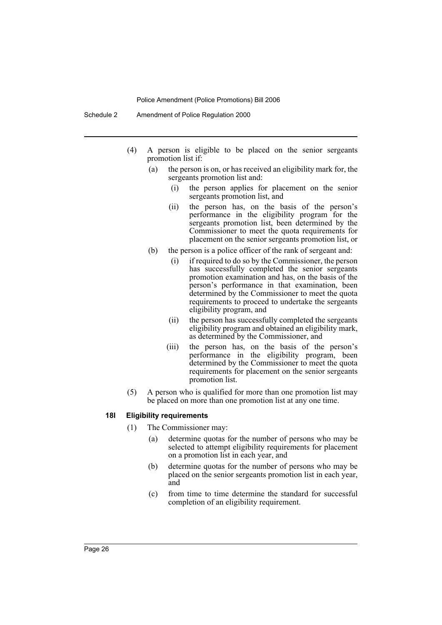- (4) A person is eligible to be placed on the senior sergeants promotion list if:
	- (a) the person is on, or has received an eligibility mark for, the sergeants promotion list and:
		- (i) the person applies for placement on the senior sergeants promotion list, and
		- (ii) the person has, on the basis of the person's performance in the eligibility program for the sergeants promotion list, been determined by the Commissioner to meet the quota requirements for placement on the senior sergeants promotion list, or
	- (b) the person is a police officer of the rank of sergeant and:
		- (i) if required to do so by the Commissioner, the person has successfully completed the senior sergeants promotion examination and has, on the basis of the person's performance in that examination, been determined by the Commissioner to meet the quota requirements to proceed to undertake the sergeants eligibility program, and
		- (ii) the person has successfully completed the sergeants eligibility program and obtained an eligibility mark, as determined by the Commissioner, and
		- (iii) the person has, on the basis of the person's performance in the eligibility program, been determined by the Commissioner to meet the quota requirements for placement on the senior sergeants promotion list.
- (5) A person who is qualified for more than one promotion list may be placed on more than one promotion list at any one time.

#### **18I Eligibility requirements**

- (1) The Commissioner may:
	- (a) determine quotas for the number of persons who may be selected to attempt eligibility requirements for placement on a promotion list in each year, and
	- (b) determine quotas for the number of persons who may be placed on the senior sergeants promotion list in each year, and
	- (c) from time to time determine the standard for successful completion of an eligibility requirement.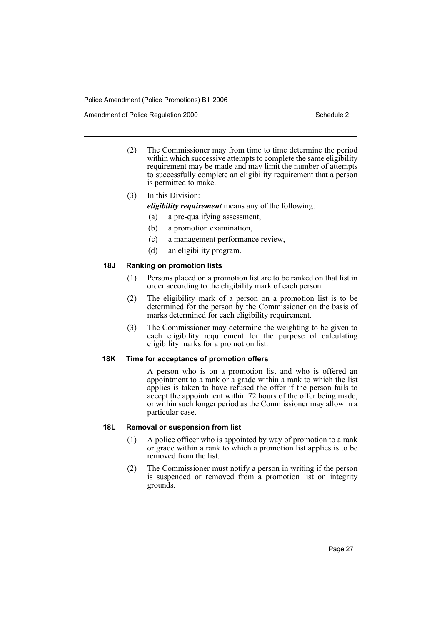Amendment of Police Regulation 2000 Schedule 2

- (2) The Commissioner may from time to time determine the period within which successive attempts to complete the same eligibility requirement may be made and may limit the number of attempts to successfully complete an eligibility requirement that a person is permitted to make.
- (3) In this Division:
	- *eligibility requirement* means any of the following:
	- (a) a pre-qualifying assessment,
	- (b) a promotion examination,
	- (c) a management performance review,
	- (d) an eligibility program.

## **18J Ranking on promotion lists**

- (1) Persons placed on a promotion list are to be ranked on that list in order according to the eligibility mark of each person.
- (2) The eligibility mark of a person on a promotion list is to be determined for the person by the Commissioner on the basis of marks determined for each eligibility requirement.
- (3) The Commissioner may determine the weighting to be given to each eligibility requirement for the purpose of calculating eligibility marks for a promotion list.

#### **18K Time for acceptance of promotion offers**

A person who is on a promotion list and who is offered an appointment to a rank or a grade within a rank to which the list applies is taken to have refused the offer if the person fails to accept the appointment within 72 hours of the offer being made, or within such longer period as the Commissioner may allow in a particular case.

#### **18L Removal or suspension from list**

- (1) A police officer who is appointed by way of promotion to a rank or grade within a rank to which a promotion list applies is to be removed from the list.
- (2) The Commissioner must notify a person in writing if the person is suspended or removed from a promotion list on integrity grounds.